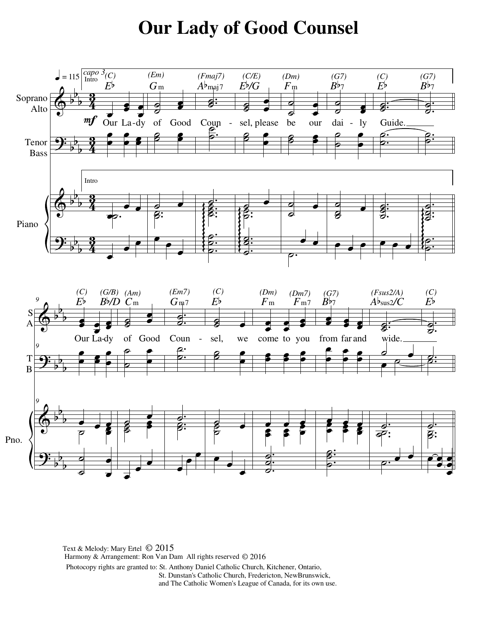## **Our Lady of Good Counsel**



Harmony & Arrangement: Ron Van Dam All rights reserved © 2016 Text & Melody: Mary Ertel © 2015Photocopy rights are granted to: St. Anthony Daniel Catholic Church, Kitchener, Ontario, St. Dunstan's Catholic Church, Fredericton, NewBrunswick, and The Catholic Women's League of Canada, for its own use.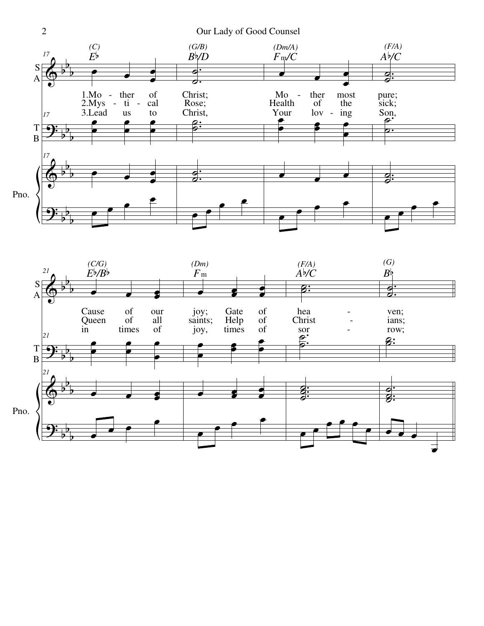